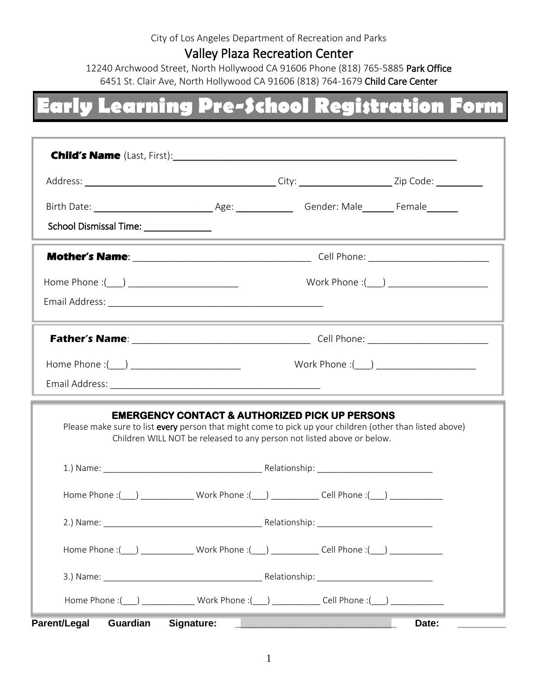#### City of Los Angeles Department of Recreation and Parks

#### Valley Plaza Recreation Center

12240 Archwood Street, North Hollywood CA 91606 Phone (818) 765-5885 Park Office 6451 St. Clair Ave, North Hollywood CA 91606 (818) 764-1679 Child Care Center

## **Early Learning Pre-School Registration Form**

| <b>Child's Name</b> (Last, First): <b>Child's Name</b> (Last, First):                                                                                                                                                                           |            |                                                                                                                        |                                                                                           |  |  |
|-------------------------------------------------------------------------------------------------------------------------------------------------------------------------------------------------------------------------------------------------|------------|------------------------------------------------------------------------------------------------------------------------|-------------------------------------------------------------------------------------------|--|--|
|                                                                                                                                                                                                                                                 |            |                                                                                                                        |                                                                                           |  |  |
|                                                                                                                                                                                                                                                 |            |                                                                                                                        |                                                                                           |  |  |
| School Dismissal Time: _______________                                                                                                                                                                                                          |            | <u> 1989 - Johann John Stein, markin film yn y brening yn y brening yn y brening yn y brening yn y brening y breni</u> |                                                                                           |  |  |
|                                                                                                                                                                                                                                                 |            |                                                                                                                        |                                                                                           |  |  |
| Home Phone :(___) __________________________                                                                                                                                                                                                    |            |                                                                                                                        |                                                                                           |  |  |
|                                                                                                                                                                                                                                                 |            |                                                                                                                        |                                                                                           |  |  |
|                                                                                                                                                                                                                                                 |            |                                                                                                                        |                                                                                           |  |  |
| Home Phone :(____) ____________________________                                                                                                                                                                                                 |            |                                                                                                                        | Work Phone :(___) _______________________                                                 |  |  |
|                                                                                                                                                                                                                                                 |            |                                                                                                                        | the control of the control of the control of the control of the control of the control of |  |  |
| <b>EMERGENCY CONTACT &amp; AUTHORIZED PICK UP PERSONS</b><br>Please make sure to list every person that might come to pick up your children (other than listed above)<br>Children WILL NOT be released to any person not listed above or below. |            |                                                                                                                        |                                                                                           |  |  |
|                                                                                                                                                                                                                                                 |            |                                                                                                                        |                                                                                           |  |  |
|                                                                                                                                                                                                                                                 |            | Home Phone :(___) _________________Work Phone :(___) _______________Cell Phone :(___) _____________                    |                                                                                           |  |  |
|                                                                                                                                                                                                                                                 |            |                                                                                                                        |                                                                                           |  |  |
|                                                                                                                                                                                                                                                 |            | Home Phone :(___) ___________________Work Phone :(___) ________________Cell Phone :(___) ________________              |                                                                                           |  |  |
|                                                                                                                                                                                                                                                 |            |                                                                                                                        |                                                                                           |  |  |
|                                                                                                                                                                                                                                                 |            | Home Phone :( ) Work Phone :( ) Cell Phone :( )                                                                        |                                                                                           |  |  |
| <b>Parent/Legal</b><br>Guardian                                                                                                                                                                                                                 | Signature: |                                                                                                                        | Date:                                                                                     |  |  |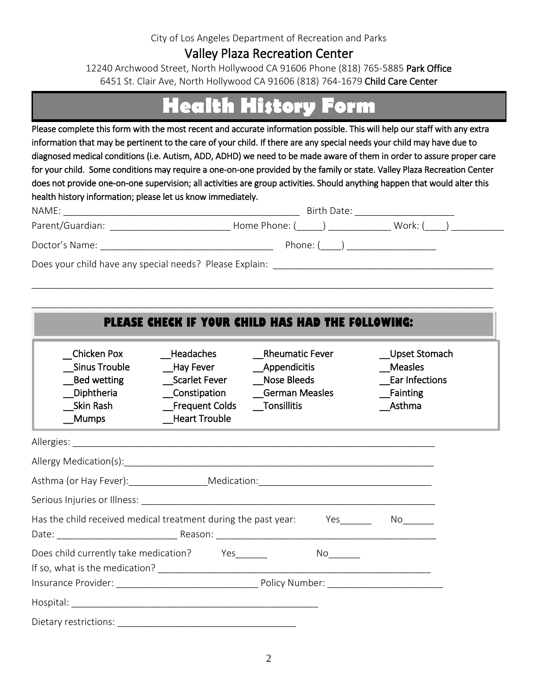#### City of Los Angeles Department of Recreation and Parks

### Valley Plaza Recreation Center

12240 Archwood Street, North Hollywood CA 91606 Phone (818) 765-5885 Park Office 6451 St. Clair Ave, North Hollywood CA 91606 (818) 764-1679 Child Care Center

### **Health History Form**

Please complete this form with the most recent and accurate information possible. This will help our staff with any extra information that may be pertinent to the care of your child. If there are any special needs your child may have due to diagnosed medical conditions (i.e. Autism, ADD, ADHD) we need to be made aware of them in order to assure proper care for your child. Some conditions may require a one-on-one provided by the family or state. Valley Plaza Recreation Center does not provide one-on-one supervision; all activities are group activities. Should anything happen that would alter this health history information; please let us know immediately.

| NAME:                                                   | Birth Date: |         |  |
|---------------------------------------------------------|-------------|---------|--|
| Parent/Guardian:<br>Home Phone: (                       |             | Work: ( |  |
| Doctor's Name:                                          | Phone: (    |         |  |
| Does your child have any special needs? Please Explain: |             |         |  |

\_\_\_\_\_\_\_\_\_\_\_\_\_\_\_\_\_\_\_\_\_\_\_\_\_\_\_\_\_\_\_\_\_\_\_\_\_\_\_\_\_\_\_\_\_\_\_\_\_\_\_\_\_\_\_\_\_\_\_\_\_\_\_\_\_\_\_\_\_\_\_\_\_\_\_\_\_\_\_\_\_\_\_\_\_\_\_\_

|                                                                                    |                                                                        | PLEASE CHECK IF YOUR CHILD HAS HAD THE FOLLOWING:                |                                                                  |
|------------------------------------------------------------------------------------|------------------------------------------------------------------------|------------------------------------------------------------------|------------------------------------------------------------------|
| Chicken Pox<br>Sinus Trouble<br>__Bed wetting<br>Diphtheria<br>Skin Rash<br>_Mumps | Headaches<br>__Hay Fever<br>Scarlet Fever Nose Bleeds<br>Heart Trouble | Rheumatic Fever<br>__Appendicitis<br>Constipation German Measles | Upset Stomach<br>Measles<br>Ear Infections<br>Fainting<br>Asthma |
|                                                                                    |                                                                        |                                                                  |                                                                  |
|                                                                                    |                                                                        |                                                                  |                                                                  |
|                                                                                    |                                                                        |                                                                  |                                                                  |
|                                                                                    |                                                                        |                                                                  |                                                                  |
| Has the child received medical treatment during the past year: Yes_______ No______ |                                                                        |                                                                  |                                                                  |
| Does child currently take medication? Yes                                          |                                                                        |                                                                  |                                                                  |
|                                                                                    |                                                                        |                                                                  |                                                                  |
|                                                                                    |                                                                        |                                                                  |                                                                  |
|                                                                                    |                                                                        |                                                                  |                                                                  |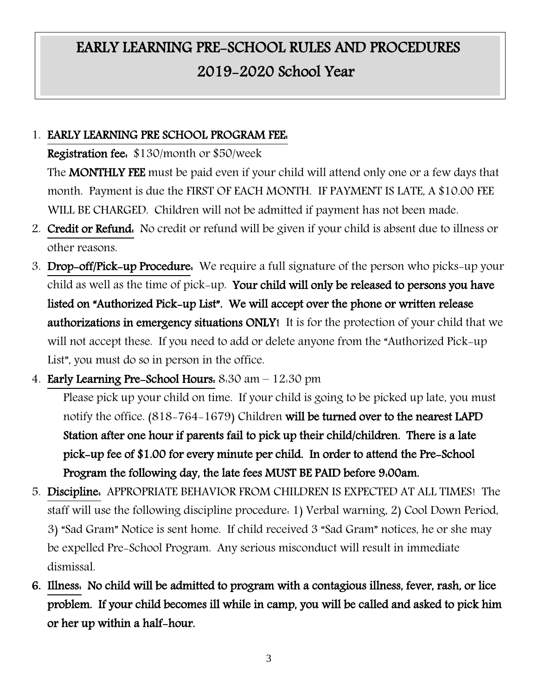### EARLY LEARNING PRE-SCHOOL RULES AND PROCEDURES 2019-2020 School Year

### 1. EARLY LEARNING PRE SCHOOL PROGRAM FEE:

Registration fee: \$130/month or \$50/week

The **MONTHLY FEE** must be paid even if your child will attend only one or a few days that month. Payment is due the FIRST OF EACH MONTH. IF PAYMENT IS LATE, A \$10.00 FEE WILL BE CHARGED. Children will not be admitted if payment has not been made.

- 2. Credit or Refund: No credit or refund will be given if your child is absent due to illness or other reasons.
- 3. Drop-off/Pick-up Procedure: We require a full signature of the person who picks-up your child as well as the time of pick-up. Your child will only be released to persons you have listed on "Authorized Pick-up List". We will accept over the phone or written release authorizations in emergency situations ONLY! It is for the protection of your child that we will not accept these. If you need to add or delete anyone from the "Authorized Pick-up List", you must do so in person in the office.
- 4. Early Learning Pre-School Hours: 8:30 am 12:30 pm

Please pick up your child on time. If your child is going to be picked up late, you must notify the office. (818-764-1679) Children will be turned over to the nearest LAPD Station after one hour if parents fail to pick up their child/children. There is a late pick-up fee of \$1.00 for every minute per child. In order to attend the Pre-School Program the following day, the late fees MUST BE PAID before 9:00am.

- 5. Discipline: APPROPRIATE BEHAVIOR FROM CHILDREN IS EXPECTED AT ALL TIMES! The staff will use the following discipline procedure: 1) Verbal warning, 2) Cool Down Period, 3) "Sad Gram" Notice is sent home. If child received 3 "Sad Gram" notices, he or she may be expelled Pre-School Program. Any serious misconduct will result in immediate dismissal.
- 6. Illness: No child will be admitted to program with a contagious illness, fever, rash, or lice problem. If your child becomes ill while in camp, you will be called and asked to pick him or her up within a half-hour.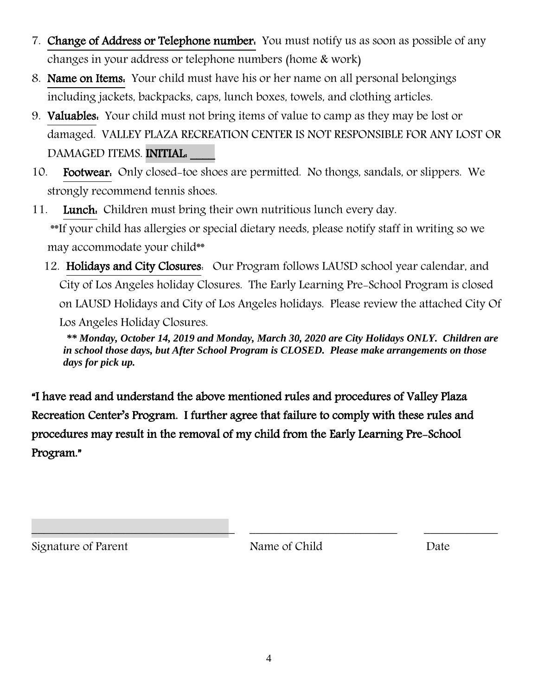- 7. Change of Address or Telephone number. You must notify us as soon as possible of any changes in your address or telephone numbers (home & work)
- 8. Name on Items: Your child must have his or her name on all personal belongings including jackets, backpacks, caps, lunch boxes, towels, and clothing articles.
- 9. Valuables: Your child must not bring items of value to camp as they may be lost or damaged. VALLEY PLAZA RECREATION CENTER IS NOT RESPONSIBLE FOR ANY LOST OR DAMAGED ITEMS. INITIAL:
- 10. Footwear: Only closed-toe shoes are permitted. No thongs, sandals, or slippers. We strongly recommend tennis shoes.
- 11. Lunch: Children must bring their own nutritious lunch every day. \*\*If your child has allergies or special dietary needs, please notify staff in writing so we may accommodate your child\*\*
	- 12. Holidays and City Closures: Our Program follows LAUSD school year calendar, and City of Los Angeles holiday Closures. The Early Learning Pre-School Program is closed on LAUSD Holidays and City of Los Angeles holidays. Please review the attached City Of Los Angeles Holiday Closures.

*\*\* Monday, October 14, 2019 and Monday, March 30, 2020 are City Holidays ONLY. Children are in school those days, but After School Program is CLOSED. Please make arrangements on those days for pick up.*

"I have read and understand the above mentioned rules and procedures of Valley Plaza Recreation Center's Program. I further agree that failure to comply with these rules and procedures may result in the removal of my child from the Early Learning Pre-School Program."

Signature of Parent Name of Child Date

\_\_\_\_\_\_\_\_\_\_\_\_\_\_\_\_\_\_\_\_\_\_\_\_\_\_\_\_\_\_\_\_\_ \_\_\_\_\_\_\_\_\_\_\_\_\_\_\_\_\_\_\_\_\_\_\_\_ \_\_\_\_\_\_\_\_\_\_\_\_